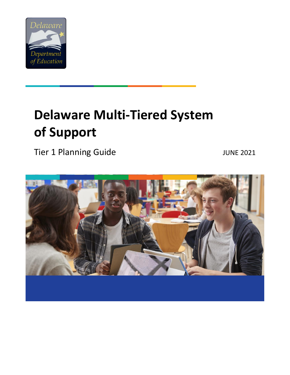

# **Delaware Multi-Tiered System of Support**

Tier 1 Planning Guide JUNE 2021

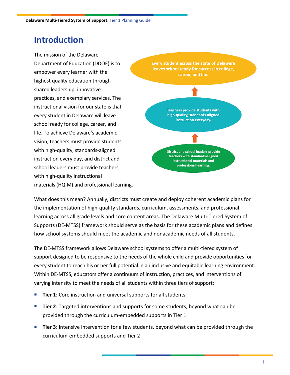## **Introduction**

The mission of the Delaware Department of Education (DDOE) is to empower every learner with the highest quality education through shared leadership, innovative practices, and exemplary services. The instructional vision for our state is that every student in Delaware will leave school ready for college, career, and life. To achieve Delaware's academic vision, teachers must provide students with high-quality, standards-aligned instruction every day, and district and school leaders must provide teachers with high-quality instructional materials (HQIM) and professional learning.



What does this mean? Annually, districts must create and deploy coherent academic plans for the implementation of high-quality standards, curriculum, assessments, and professional learning across all grade levels and core content areas. The Delaware Multi-Tiered System of Supports (DE-MTSS) framework should serve as the basis for these academic plans and defines how school systems should meet the academic and nonacademic needs of all students.

The DE-MTSS framework allows Delaware school systems to offer a multi-tiered system of support designed to be responsive to the needs of the whole child and provide opportunities for every student to reach his or her full potential in an inclusive and equitable learning environment. Within DE-MTSS, educators offer a continuum of instruction, practices, and interventions of varying intensity to meet the needs of all students within three tiers of support:

- **Tier 1:** Core instruction and universal supports for all students
- **Tier 2**: Targeted interventions and supports for some students, beyond what can be provided through the curriculum-embedded supports in Tier 1
- **Tier 3**: Intensive intervention for a few students, beyond what can be provided through the curriculum-embedded supports and Tier 2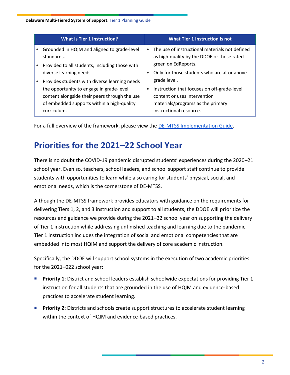#### **Delaware Multi-Tiered System of Support:** Tier 1 Planning Guide

|           | <b>What is Tier 1 instruction?</b>                                                                                                                     |           | <b>What Tier 1 instruction is not</b>                                                                                                       |
|-----------|--------------------------------------------------------------------------------------------------------------------------------------------------------|-----------|---------------------------------------------------------------------------------------------------------------------------------------------|
|           | Grounded in HQIM and aligned to grade-level<br>standards.                                                                                              | $\bullet$ | The use of instructional materials not defined<br>as high-quality by the DDOE or those rated                                                |
| $\bullet$ | Provided to all students, including those with                                                                                                         |           | green on EdReports.                                                                                                                         |
|           | diverse learning needs.                                                                                                                                |           | Only for those students who are at or above                                                                                                 |
| $\bullet$ | Provides students with diverse learning needs                                                                                                          |           | grade level.                                                                                                                                |
|           | the opportunity to engage in grade-level<br>content alongside their peers through the use<br>of embedded supports within a high-quality<br>curriculum. |           | Instruction that focuses on off-grade-level<br>content or uses intervention<br>materials/programs as the primary<br>instructional resource. |

For a full overview of the framework, please view the [DE-MTSS Implementation Guide.](https://www.doe.k12.de.us/Page/4415)

# **Priorities for the 2021–22 School Year**

There is no doubt the COVID-19 pandemic disrupted students' experiences during the 2020–21 school year. Even so, teachers, school leaders, and school support staff continue to provide students with opportunities to learn while also caring for students' physical, social, and emotional needs, which is the cornerstone of DE-MTSS.

Although the DE-MTSS framework provides educators with guidance on the requirements for delivering Tiers 1, 2, and 3 instruction and support to all students, the DDOE will prioritize the resources and guidance we provide during the 2021–22 school year on supporting the delivery of Tier 1 instruction while addressing unfinished teaching and learning due to the pandemic. Tier 1 instruction includes the integration of social and emotional competencies that are embedded into most HQIM and support the delivery of core academic instruction.

Specifically, the DDOE will support school systems in the execution of two academic priorities for the 2021–022 school year:

- **Priority 1**: District and school leaders establish schoolwide expectations for providing Tier 1 instruction for all students that are grounded in the use of HQIM and evidence-based practices to accelerate student learning.
- **Priority 2**: Districts and schools create support structures to accelerate student learning within the context of HQIM and evidence-based practices.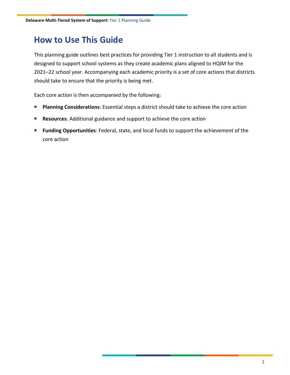## **How to Use This Guide**

This planning guide outlines best practices for providing Tier 1 instruction to all students and is designed to support school systems as they create academic plans aligned to HQIM for the 2021–22 school year. Accompanying each academic priority is a set of core actions that districts should take to ensure that the priority is being met.

Each core action is then accompanied by the following:

- **Planning Considerations**: Essential steps a district should take to achieve the core action
- Resources: Additional guidance and support to achieve the core action
- **Funding Opportunities**: Federal, state, and local funds to support the achievement of the core action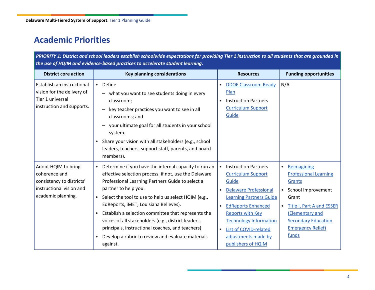# **Academic Priorities**

*PRIORITY 1: District and school leaders establish schoolwide expectations for providing Tier 1 instruction to all students that are grounded in the use of HQIM and evidence-based practices to accelerate student learning.*

| <b>District core action</b>                                                                                         | <b>Key planning considerations</b>                                                                                                                                                                                                                                                                                                                                                                                                                                                                                                                                    | <b>Resources</b>                                                                                                                                                                                                                                                                                                                                       | <b>Funding opportunities</b>                                                                                                                                                                                                                          |
|---------------------------------------------------------------------------------------------------------------------|-----------------------------------------------------------------------------------------------------------------------------------------------------------------------------------------------------------------------------------------------------------------------------------------------------------------------------------------------------------------------------------------------------------------------------------------------------------------------------------------------------------------------------------------------------------------------|--------------------------------------------------------------------------------------------------------------------------------------------------------------------------------------------------------------------------------------------------------------------------------------------------------------------------------------------------------|-------------------------------------------------------------------------------------------------------------------------------------------------------------------------------------------------------------------------------------------------------|
| Establish an instructional<br>vision for the delivery of<br>Tier 1 universal<br>instruction and supports.           | Define<br>$\bullet$<br>what you want to see students doing in every<br>classroom;<br>key teacher practices you want to see in all<br>classrooms; and<br>your ultimate goal for all students in your school<br>system.<br>Share your vision with all stakeholders (e.g., school<br>$\bullet$<br>leaders, teachers, support staff, parents, and board                                                                                                                                                                                                                   | <b>DDOE Classroom Ready</b><br>$\bullet$<br>Plan<br><b>Instruction Partners</b><br>$\bullet$<br><b>Curriculum Support</b><br>Guide                                                                                                                                                                                                                     | N/A                                                                                                                                                                                                                                                   |
|                                                                                                                     | members).                                                                                                                                                                                                                                                                                                                                                                                                                                                                                                                                                             |                                                                                                                                                                                                                                                                                                                                                        |                                                                                                                                                                                                                                                       |
| Adopt HQIM to bring<br>coherence and<br>consistency to districts'<br>instructional vision and<br>academic planning. | Determine if you have the internal capacity to run an<br>$\bullet$<br>effective selection process; if not, use the Delaware<br>Professional Learning Partners Guide to select a<br>partner to help you.<br>Select the tool to use to help us select HQIM (e.g.,<br>$\bullet$<br>EdReports, iMET, Louisiana Believes).<br>Establish a selection committee that represents the<br>$\bullet$<br>voices of all stakeholders (e.g., district leaders,<br>principals, instructional coaches, and teachers)<br>Develop a rubric to review and evaluate materials<br>against. | <b>Instruction Partners</b><br>$\bullet$<br><b>Curriculum Support</b><br>Guide<br><b>Delaware Professional</b><br>$\bullet$<br><b>Learning Partners Guide</b><br><b>EdReports Enhanced</b><br>$\bullet$<br><b>Reports with Key</b><br><b>Technology Information</b><br>List of COVID-related<br>$\bullet$<br>adjustments made by<br>publishers of HQIM | Reimagining<br>$\bullet$<br><b>Professional Learning</b><br>Grants<br>School Improvement<br>$\bullet$<br>Grant<br><b>Title I, Part A and ESSER</b><br>$\bullet$<br>(Elementary and<br><b>Secondary Education</b><br><b>Emergency Relief)</b><br>funds |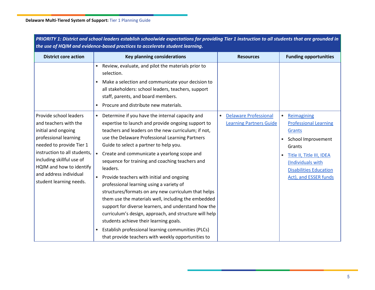| <b>District core action</b>                                                                                                                                                                                                                                               | <b>Key planning considerations</b>                                                                                                                                                                                                                                                                                                                                                                                                                                                                                                                                                                                                                                                                                                                                                                                                                                                            | <b>Resources</b>                                                            | <b>Funding opportunities</b>                                                                                                                                                                                   |
|---------------------------------------------------------------------------------------------------------------------------------------------------------------------------------------------------------------------------------------------------------------------------|-----------------------------------------------------------------------------------------------------------------------------------------------------------------------------------------------------------------------------------------------------------------------------------------------------------------------------------------------------------------------------------------------------------------------------------------------------------------------------------------------------------------------------------------------------------------------------------------------------------------------------------------------------------------------------------------------------------------------------------------------------------------------------------------------------------------------------------------------------------------------------------------------|-----------------------------------------------------------------------------|----------------------------------------------------------------------------------------------------------------------------------------------------------------------------------------------------------------|
|                                                                                                                                                                                                                                                                           | Review, evaluate, and pilot the materials prior to<br>$\bullet$<br>selection.                                                                                                                                                                                                                                                                                                                                                                                                                                                                                                                                                                                                                                                                                                                                                                                                                 |                                                                             |                                                                                                                                                                                                                |
|                                                                                                                                                                                                                                                                           | Make a selection and communicate your decision to<br>$\bullet$<br>all stakeholders: school leaders, teachers, support<br>staff, parents, and board members.<br>Procure and distribute new materials.<br>$\bullet$                                                                                                                                                                                                                                                                                                                                                                                                                                                                                                                                                                                                                                                                             |                                                                             |                                                                                                                                                                                                                |
| Provide school leaders<br>and teachers with the<br>initial and ongoing<br>professional learning<br>needed to provide Tier 1<br>instruction to all students.<br>including skillful use of<br>HQIM and how to identify<br>and address individual<br>student learning needs. | Determine if you have the internal capacity and<br>$\bullet$<br>expertise to launch and provide ongoing support to<br>teachers and leaders on the new curriculum; if not,<br>use the Delaware Professional Learning Partners<br>Guide to select a partner to help you.<br>Create and communicate a yearlong scope and<br>$\bullet$<br>sequence for training and coaching teachers and<br>leaders.<br>Provide teachers with initial and ongoing<br>professional learning using a variety of<br>structures/formats on any new curriculum that helps<br>them use the materials well, including the embedded<br>support for diverse learners, and understand how the<br>curriculum's design, approach, and structure will help<br>students achieve their learning goals.<br>Establish professional learning communities (PLCs)<br>$\bullet$<br>that provide teachers with weekly opportunities to | <b>Delaware Professional</b><br>$\bullet$<br><b>Learning Partners Guide</b> | Reimagining<br>$\bullet$<br><b>Professional Learning</b><br>Grants<br>School Improvement<br>Grants<br>Title II, Title III, IDEA<br>(Individuals with<br><b>Disabilities Education</b><br>Act), and ESSER funds |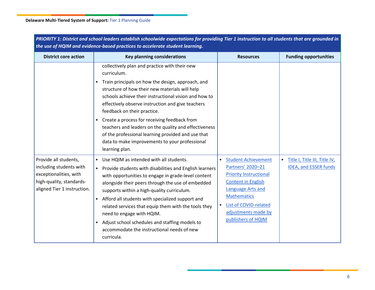| the use of HQIM and evidence-based practices to accelerate student learning.                                                          |                                                                                                                                                                                                                                                                                                                                                                                                                                                                                                                                                            |                                                                                                                                                                                                                                             |                                                                            |  |  |
|---------------------------------------------------------------------------------------------------------------------------------------|------------------------------------------------------------------------------------------------------------------------------------------------------------------------------------------------------------------------------------------------------------------------------------------------------------------------------------------------------------------------------------------------------------------------------------------------------------------------------------------------------------------------------------------------------------|---------------------------------------------------------------------------------------------------------------------------------------------------------------------------------------------------------------------------------------------|----------------------------------------------------------------------------|--|--|
| <b>District core action</b>                                                                                                           | <b>Key planning considerations</b>                                                                                                                                                                                                                                                                                                                                                                                                                                                                                                                         | <b>Resources</b>                                                                                                                                                                                                                            | <b>Funding opportunities</b>                                               |  |  |
|                                                                                                                                       | collectively plan and practice with their new<br>curriculum.                                                                                                                                                                                                                                                                                                                                                                                                                                                                                               |                                                                                                                                                                                                                                             |                                                                            |  |  |
|                                                                                                                                       | Train principals on how the design, approach, and<br>$\bullet$<br>structure of how their new materials will help<br>schools achieve their instructional vision and how to<br>effectively observe instruction and give teachers<br>feedback on their practice.                                                                                                                                                                                                                                                                                              |                                                                                                                                                                                                                                             |                                                                            |  |  |
|                                                                                                                                       | Create a process for receiving feedback from<br>$\bullet$<br>teachers and leaders on the quality and effectiveness<br>of the professional learning provided and use that<br>data to make improvements to your professional<br>learning plan.                                                                                                                                                                                                                                                                                                               |                                                                                                                                                                                                                                             |                                                                            |  |  |
| Provide all students,<br>including students with<br>exceptionalities, with<br>high-quality, standards-<br>aligned Tier 1 instruction. | Use HQIM as intended with all students.<br>$\bullet$<br>Provide students with disabilities and English learners<br>$\bullet$<br>with opportunities to engage in grade-level content<br>alongside their peers through the use of embedded<br>supports within a high-quality curriculum.<br>Afford all students with specialized support and<br>$\bullet$<br>related services that equip them with the tools they<br>need to engage with HQIM.<br>Adjust school schedules and staffing models to<br>accommodate the instructional needs of new<br>curricula. | <b>Student Achievement</b><br>$\bullet$<br>Partners' 2020-21<br><b>Priority Instructional</b><br><b>Content in English</b><br>Language Arts and<br><b>Mathematics</b><br>List of COVID-related<br>adjustments made by<br>publishers of HQIM | Title I, Title III, Title IV,<br>$\bullet$<br><b>IDEA, and ESSER funds</b> |  |  |

*PRIORITY 1: District and school leaders establish schoolwide expectations for providing Tier 1 instruction to all students that are grounded in*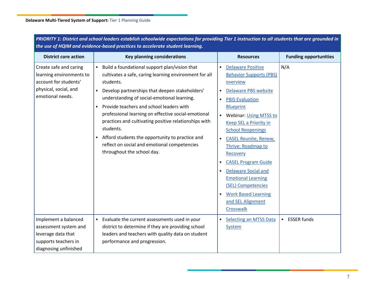| the use of HQIM and evidence-based practices to accelerate student learning.                                             |                                                                                                                                                                                                                                                                                                                                                                                                                                                                                                                                                           |                                                                                                                                                                                                                                                                                                                                                                                                                                                                                                                                                                                               |                                 |  |
|--------------------------------------------------------------------------------------------------------------------------|-----------------------------------------------------------------------------------------------------------------------------------------------------------------------------------------------------------------------------------------------------------------------------------------------------------------------------------------------------------------------------------------------------------------------------------------------------------------------------------------------------------------------------------------------------------|-----------------------------------------------------------------------------------------------------------------------------------------------------------------------------------------------------------------------------------------------------------------------------------------------------------------------------------------------------------------------------------------------------------------------------------------------------------------------------------------------------------------------------------------------------------------------------------------------|---------------------------------|--|
| <b>District core action</b>                                                                                              | <b>Key planning considerations</b>                                                                                                                                                                                                                                                                                                                                                                                                                                                                                                                        | <b>Resources</b>                                                                                                                                                                                                                                                                                                                                                                                                                                                                                                                                                                              | <b>Funding opportunities</b>    |  |
| Create safe and caring<br>learning environments to<br>account for students'<br>physical, social, and<br>emotional needs. | Build a foundational support plan/vision that<br>cultivates a safe, caring learning environment for all<br>students.<br>Develop partnerships that deepen stakeholders'<br>$\bullet$<br>understanding of social-emotional learning.<br>Provide teachers and school leaders with<br>professional learning on effective social-emotional<br>practices and cultivating positive relationships with<br>students.<br>Afford students the opportunity to practice and<br>$\bullet$<br>reflect on social and emotional competencies<br>throughout the school day. | <b>Delaware Positive</b><br>$\bullet$<br><b>Behavior Supports (PBS)</b><br>overview<br><b>Delaware PBS website</b><br>$\bullet$<br><b>PBIS Evaluation</b><br>$\bullet$<br><b>Blueprint</b><br><b>Webinar: Using MTSS to</b><br>$\bullet$<br><b>Keep SEL a Priority in</b><br><b>School Reopenings</b><br><b>CASEL Reunite, Renew,</b><br>$\bullet$<br>Thrive: Roadmap to<br>Recovery<br><b>CASEL Program Guide</b><br><b>Delaware Social and</b><br>$\bullet$<br><b>Emotional Learning</b><br>(SEL) Competencies<br><b>Work Based Learning</b><br>$\bullet$<br>and SEL Alignment<br>Crosswalk | N/A                             |  |
| Implement a balanced<br>assessment system and<br>leverage data that<br>supports teachers in<br>diagnosing unfinished     | Evaluate the current assessments used in your<br>$\bullet$<br>district to determine if they are providing school<br>leaders and teachers with quality data on student<br>performance and progression.                                                                                                                                                                                                                                                                                                                                                     | <b>Selecting an MTSS Data</b><br>$\bullet$<br>System                                                                                                                                                                                                                                                                                                                                                                                                                                                                                                                                          | <b>ESSER funds</b><br>$\bullet$ |  |

*PRIORITY 1: District and school leaders establish schoolwide expectations for providing Tier 1 instruction to all students that are grounded in*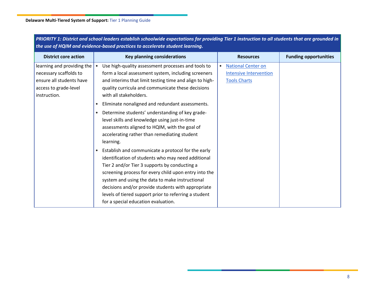| the use of HQIM and evidence-based practices to accelerate student learning.                                                  |                                                                                                                                                                                                                                                                                                                                                                                                                                                                                                                                                                                                                                                                                                                                                                                                                                                                                                                                            |                                                                                   |                              |  |  |
|-------------------------------------------------------------------------------------------------------------------------------|--------------------------------------------------------------------------------------------------------------------------------------------------------------------------------------------------------------------------------------------------------------------------------------------------------------------------------------------------------------------------------------------------------------------------------------------------------------------------------------------------------------------------------------------------------------------------------------------------------------------------------------------------------------------------------------------------------------------------------------------------------------------------------------------------------------------------------------------------------------------------------------------------------------------------------------------|-----------------------------------------------------------------------------------|------------------------------|--|--|
| <b>District core action</b>                                                                                                   | <b>Key planning considerations</b>                                                                                                                                                                                                                                                                                                                                                                                                                                                                                                                                                                                                                                                                                                                                                                                                                                                                                                         | <b>Resources</b>                                                                  | <b>Funding opportunities</b> |  |  |
| learning and providing the $ $<br>necessary scaffolds to<br>ensure all students have<br>access to grade-level<br>instruction. | Use high-quality assessment processes and tools to<br>form a local assessment system, including screeners<br>and interims that limit testing time and align to high-<br>quality curricula and communicate these decisions<br>with all stakeholders.<br>Eliminate nonaligned and redundant assessments.<br>$\bullet$<br>Determine students' understanding of key grade-<br>$\bullet$<br>level skills and knowledge using just-in-time<br>assessments aligned to HQIM, with the goal of<br>accelerating rather than remediating student<br>learning.<br>Establish and communicate a protocol for the early<br>identification of students who may need additional<br>Tier 2 and/or Tier 3 supports by conducting a<br>screening process for every child upon entry into the<br>system and using the data to make instructional<br>decisions and/or provide students with appropriate<br>levels of tiered support prior to referring a student | <b>National Center on</b><br><b>Intensive Intervention</b><br><b>Tools Charts</b> |                              |  |  |
|                                                                                                                               | for a special education evaluation.                                                                                                                                                                                                                                                                                                                                                                                                                                                                                                                                                                                                                                                                                                                                                                                                                                                                                                        |                                                                                   |                              |  |  |

*PRIORITY 1: District and school leaders establish schoolwide expectations for providing Tier 1 instruction to all students that are grounded in*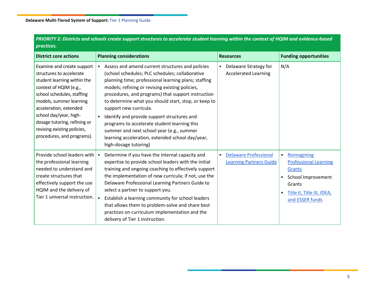| practices.                                                                                                                                                                                                                                                                                                                |                                                                                                                                                                                                                                                                                                                                                                                                                                                                                                                                                                                                           |                                                                             |                                                                                                                                                            |  |
|---------------------------------------------------------------------------------------------------------------------------------------------------------------------------------------------------------------------------------------------------------------------------------------------------------------------------|-----------------------------------------------------------------------------------------------------------------------------------------------------------------------------------------------------------------------------------------------------------------------------------------------------------------------------------------------------------------------------------------------------------------------------------------------------------------------------------------------------------------------------------------------------------------------------------------------------------|-----------------------------------------------------------------------------|------------------------------------------------------------------------------------------------------------------------------------------------------------|--|
| <b>District core actions</b>                                                                                                                                                                                                                                                                                              | <b>Planning considerations</b>                                                                                                                                                                                                                                                                                                                                                                                                                                                                                                                                                                            | <b>Resources</b>                                                            | <b>Funding opportunities</b>                                                                                                                               |  |
| Examine and create support<br>structures to accelerate<br>student learning within the<br>context of HQIM (e.g.,<br>school schedules, staffing<br>models, summer learning<br>acceleration, extended<br>school day/year, high-<br>dosage tutoring, refining or<br>revising existing policies,<br>procedures, and programs). | Assess and amend current structures and policies<br>$\bullet$<br>(school schedules; PLC schedules; collaborative<br>planning time; professional learning plans; staffing<br>models; refining or revising existing policies,<br>procedures, and programs) that support instruction<br>to determine what you should start, stop, or keep to<br>support new curricula.<br>Identify and provide support structures and<br>$\bullet$<br>programs to accelerate student learning this<br>summer and next school year (e.g., summer<br>learning acceleration, extended school day/year,<br>high-dosage tutoring) | Delaware Strategy for<br>$\bullet$<br><b>Accelerated Learning</b>           | N/A                                                                                                                                                        |  |
| Provide school leaders with<br>the professional learning<br>needed to understand and<br>create structures that<br>effectively support the use<br>HQIM and the delivery of<br>Tier 1 universal instruction.                                                                                                                | Determine if you have the internal capacity and<br>$\bullet$<br>expertise to provide school leaders with the initial<br>training and ongoing coaching to effectively support<br>the implementation of new curricula; if not, use the<br>Delaware Professional Learning Partners Guide to<br>select a partner to support you.<br>Establish a learning community for school leaders<br>$\bullet$<br>that allows them to problem-solve and share best<br>practices on curriculum implementation and the<br>delivery of Tier 1 instruction.                                                                   | <b>Delaware Professional</b><br>$\bullet$<br><b>Learning Partners Guide</b> | Reimagining<br><b>Professional Learning</b><br><b>Grants</b><br>School Improvement<br>$\bullet$<br>Grants<br>Title II, Title III, IDEA,<br>and ESSER funds |  |

*PRIORITY 2: Districts and schools create support structures to accelerate student learning within the context of HQIM and evidence-based*